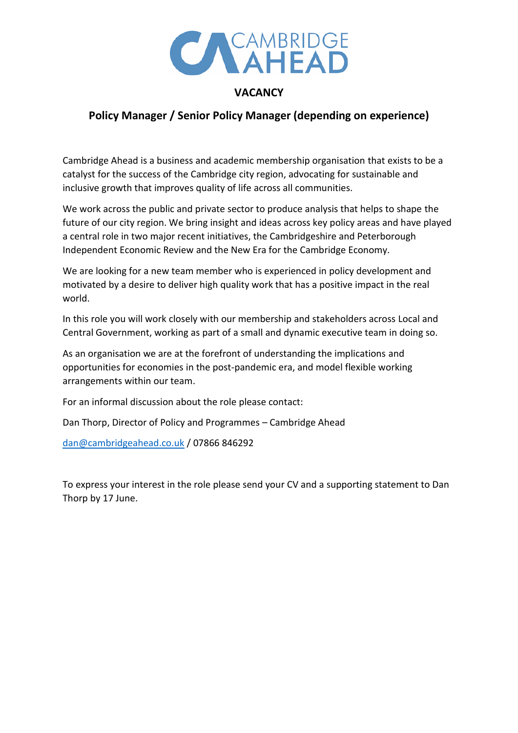

## **VACANCY**

# **Policy Manager / Senior Policy Manager (depending on experience)**

Cambridge Ahead is a business and academic membership organisation that exists to be a catalyst for the success of the Cambridge city region, advocating for sustainable and inclusive growth that improves quality of life across all communities.

We work across the public and private sector to produce analysis that helps to shape the future of our city region. We bring insight and ideas across key policy areas and have played a central role in two major recent initiatives, the Cambridgeshire and Peterborough Independent Economic Review and the New Era for the Cambridge Economy.

We are looking for a new team member who is experienced in policy development and motivated by a desire to deliver high quality work that has a positive impact in the real world.

In this role you will work closely with our membership and stakeholders across Local and Central Government, working as part of a small and dynamic executive team in doing so.

As an organisation we are at the forefront of understanding the implications and opportunities for economies in the post-pandemic era, and model flexible working arrangements within our team.

For an informal discussion about the role please contact:

Dan Thorp, Director of Policy and Programmes – Cambridge Ahead

[dan@cambridgeahead.co.uk](mailto:dan@cambridgeahead.co.uk) / 07866 846292

To express your interest in the role please send your CV and a supporting statement to Dan Thorp by 17 June.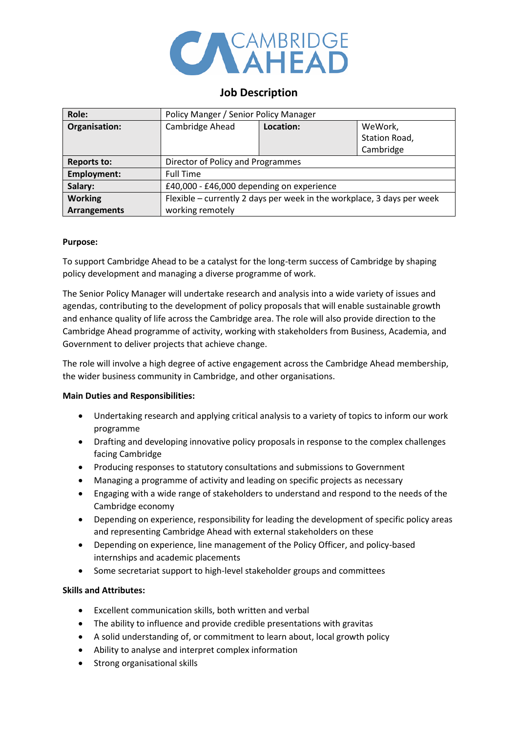

### **Job Description**

| Role:               | Policy Manger / Senior Policy Manager                                  |           |               |
|---------------------|------------------------------------------------------------------------|-----------|---------------|
| Organisation:       | Cambridge Ahead                                                        | Location: | WeWork,       |
|                     |                                                                        |           | Station Road, |
|                     |                                                                        |           | Cambridge     |
| <b>Reports to:</b>  | Director of Policy and Programmes                                      |           |               |
| <b>Employment:</b>  | <b>Full Time</b>                                                       |           |               |
| Salary:             | £40,000 - £46,000 depending on experience                              |           |               |
| <b>Working</b>      | Flexible - currently 2 days per week in the workplace, 3 days per week |           |               |
| <b>Arrangements</b> | working remotely                                                       |           |               |

#### **Purpose:**

To support Cambridge Ahead to be a catalyst for the long-term success of Cambridge by shaping policy development and managing a diverse programme of work.

The Senior Policy Manager will undertake research and analysis into a wide variety of issues and agendas, contributing to the development of policy proposals that will enable sustainable growth and enhance quality of life across the Cambridge area. The role will also provide direction to the Cambridge Ahead programme of activity, working with stakeholders from Business, Academia, and Government to deliver projects that achieve change.

The role will involve a high degree of active engagement across the Cambridge Ahead membership, the wider business community in Cambridge, and other organisations.

#### **Main Duties and Responsibilities:**

- Undertaking research and applying critical analysis to a variety of topics to inform our work programme
- Drafting and developing innovative policy proposals in response to the complex challenges facing Cambridge
- Producing responses to statutory consultations and submissions to Government
- Managing a programme of activity and leading on specific projects as necessary
- Engaging with a wide range of stakeholders to understand and respond to the needs of the Cambridge economy
- Depending on experience, responsibility for leading the development of specific policy areas and representing Cambridge Ahead with external stakeholders on these
- Depending on experience, line management of the Policy Officer, and policy-based internships and academic placements
- Some secretariat support to high-level stakeholder groups and committees

#### **Skills and Attributes:**

- Excellent communication skills, both written and verbal
- The ability to influence and provide credible presentations with gravitas
- A solid understanding of, or commitment to learn about, local growth policy
- Ability to analyse and interpret complex information
- Strong organisational skills